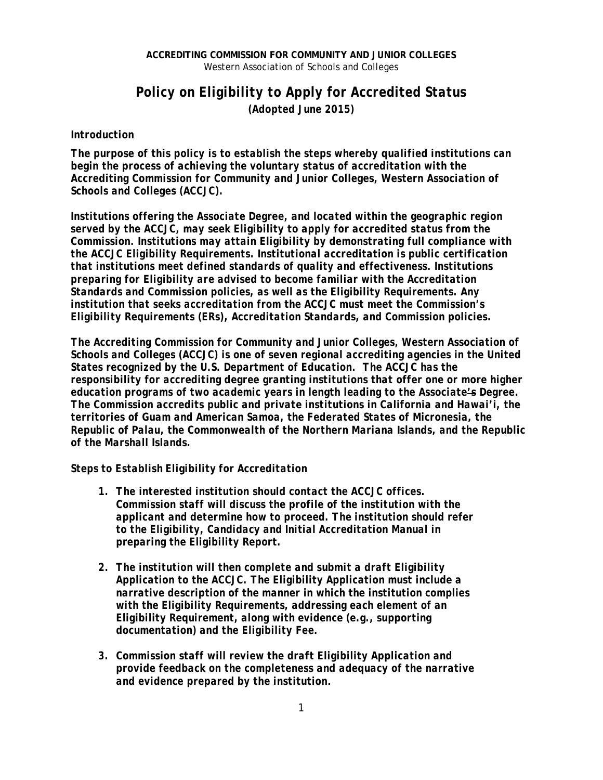## **ACCREDITING COMMISSION FOR COMMUNITY AND JUNIOR COLLEGES** Western Association of Schools and Colleges

## *Policy on Eligibility to Apply for Accredited Status (Adopted June 2015)*

## *Introduction*

*The purpose of this policy is to establish the steps whereby qualified institutions can begin the process of achieving the voluntary status of accreditation with the Accrediting Commission for Community and Junior Colleges, Western Association of Schools and Colleges (ACCJC).* 

*Institutions offering the Associate Degree, and located within the geographic region served by the ACCJC, may seek Eligibility to apply for accredited status from the Commission. Institutions may attain Eligibility by demonstrating full compliance with the ACCJC Eligibility Requirements. Institutional accreditation is public certification that institutions meet defined standards of quality and effectiveness. Institutions preparing for Eligibility are advised to become familiar with the Accreditation Standards and Commission policies, as well as the Eligibility Requirements. Any institution that seeks accreditation from the ACCJC must meet the Commission's Eligibility Requirements (ERs), Accreditation Standards, and Commission policies.* 

*The Accrediting Commission for Community and Junior Colleges, Western Association of Schools and Colleges (ACCJC) is one of seven regional accrediting agencies in the United States recognized by the U.S. Department of Education. The ACCJC has the responsibility for accrediting degree granting institutions that offer one or more higher education programs of two academic years in length leading to the Associate's Degree. The Commission accredits public and private institutions in California and Hawai'i, the territories of Guam and American Samoa, the Federated States of Micronesia, the Republic of Palau, the Commonwealth of the Northern Mariana Islands, and the Republic of the Marshall Islands.*

*Steps to Establish Eligibility for Accreditation* 

- *1. The interested institution should contact the ACCJC offices. Commission staff will discuss the profile of the institution with the applicant and determine how to proceed. The institution should refer to the Eligibility, Candidacy and Initial Accreditation Manual in preparing the Eligibility Report.*
- *2. The institution will then complete and submit a draft Eligibility Application to the ACCJC. The Eligibility Application must include a narrative description of the manner in which the institution complies with the Eligibility Requirements, addressing each element of an Eligibility Requirement, along with evidence (e.g., supporting documentation) and the Eligibility Fee.*
- *3. Commission staff will review the draft Eligibility Application and provide feedback on the completeness and adequacy of the narrative and evidence prepared by the institution.*